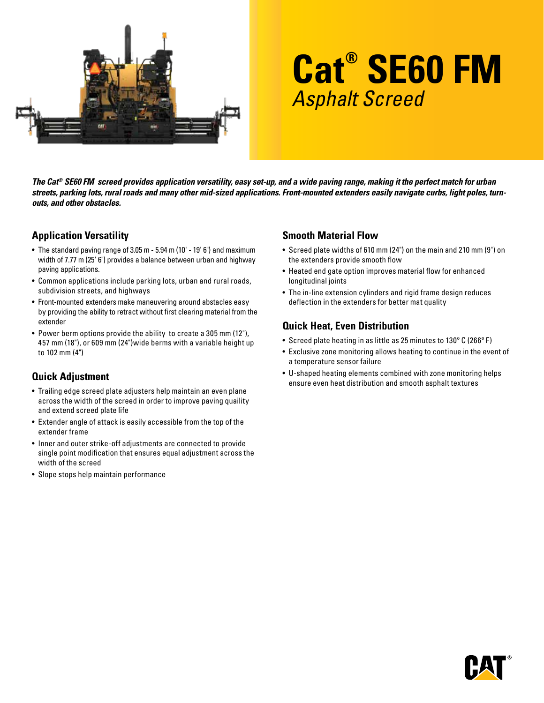

# **Cat® SE60 FM** Asphalt Screed

*The Cat® SE60 FM screed provides application versatility, easy set-up, and a wide paving range, making it the perfect match for urban streets, parking lots, rural roads and many other mid-sized applications. Front-mounted extenders easily navigate curbs, light poles, turnouts, and other obstacles.*

#### **Application Versatility**

- The standard paving range of 3.05 m 5.94 m (10' 19' 6") and maximum width of 7.77 m (25' 6") provides a balance between urban and highway paving applications.
- Common applications include parking lots, urban and rural roads, subdivision streets, and highways
- Front-mounted extenders make maneuvering around abstacles easy by providing the ability to retract without first clearing material from the extender
- Power berm options provide the ability to create a 305 mm (12"), 457 mm (18"), or 609 mm (24")wide berms with a variable height up to 102 mm (4")

## **Quick Adjustment**

- Trailing edge screed plate adjusters help maintain an even plane across the width of the screed in order to improve paving quaility and extend screed plate life
- Extender angle of attack is easily accessible from the top of the extender frame
- Inner and outer strike-off adjustments are connected to provide single point modification that ensures equal adjustment across the width of the screed
- Slope stops help maintain performance

#### **Smooth Material Flow**

- Screed plate widths of 610 mm (24") on the main and 210 mm (9") on the extenders provide smooth flow
- Heated end gate option improves material flow for enhanced longitudinal joints
- The in-line extension cylinders and rigid frame design reduces deflection in the extenders for better mat quality

## **Quick Heat, Even Distribution**

- Screed plate heating in as little as 25 minutes to 130º C (266º F)
- Exclusive zone monitoring allows heating to continue in the event of a temperature sensor failure
- U-shaped heating elements combined with zone monitoring helps ensure even heat distribution and smooth asphalt textures

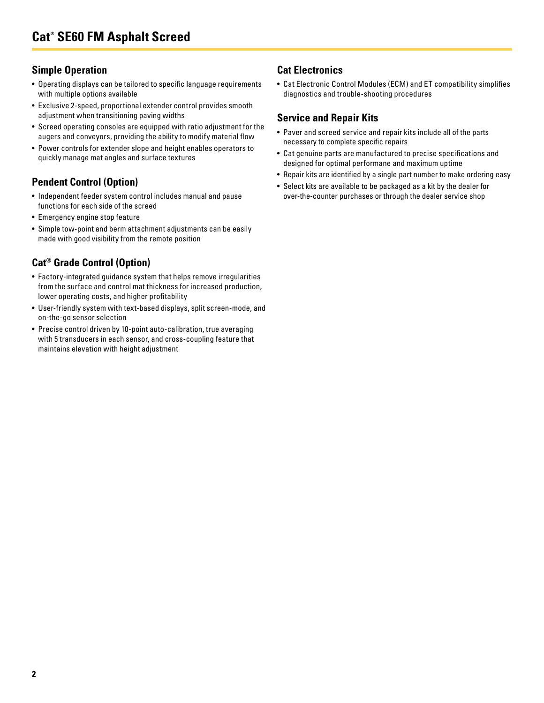#### **Simple Operation**

- Operating displays can be tailored to specific language requirements with multiple options available
- Exclusive 2-speed, proportional extender control provides smooth adjustment when transitioning paving widths
- Screed operating consoles are equipped with ratio adjustment for the augers and conveyors, providing the ability to modify material flow
- Power controls for extender slope and height enables operators to quickly manage mat angles and surface textures

## **Pendent Control (Option)**

- Independent feeder system control includes manual and pause functions for each side of the screed
- Emergency engine stop feature
- Simple tow-point and berm attachment adjustments can be easily made with good visibility from the remote position

# **Cat® Grade Control (Option)**

- Factory-integrated guidance system that helps remove irregularities from the surface and control mat thickness for increased production, lower operating costs, and higher profitability
- User-friendly system with text-based displays, split screen-mode, and on-the-go sensor selection
- Precise control driven by 10-point auto-calibration, true averaging with 5 transducers in each sensor, and cross-coupling feature that maintains elevation with height adjustment

## **Cat Electronics**

• Cat Electronic Control Modules (ECM) and ET compatibility simplifies diagnostics and trouble-shooting procedures

#### **Service and Repair Kits**

- Paver and screed service and repair kits include all of the parts necessary to complete specific repairs
- Cat genuine parts are manufactured to precise specifications and designed for optimal performane and maximum uptime
- Repair kits are identified by a single part number to make ordering easy
- Select kits are available to be packaged as a kit by the dealer for over-the-counter purchases or through the dealer service shop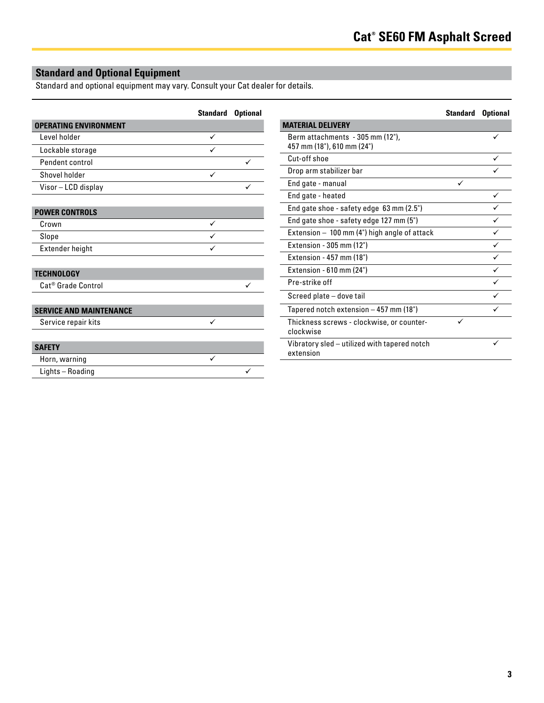# **Standard and Optional Equipment**

Standard and optional equipment may vary. Consult your Cat dealer for details.

|                                | <b>Standard Optional</b> |   |                                                           | <b>Standard Optional</b> |   |
|--------------------------------|--------------------------|---|-----------------------------------------------------------|--------------------------|---|
| <b>OPERATING ENVIRONMENT</b>   |                          |   | <b>MATERIAL DELIVERY</b>                                  |                          |   |
| Level holder                   | $\checkmark$             |   | Berm attachments - 305 mm (12"),                          |                          | ✓ |
| Lockable storage               | ✓                        |   | 457 mm (18"), 610 mm (24")                                |                          |   |
| Pendent control                |                          | ✓ | Cut-off shoe                                              |                          | ✓ |
| Shovel holder                  | $\checkmark$             |   | Drop arm stabilizer bar                                   |                          | ✓ |
| Visor-LCD display              |                          | ✓ | End gate - manual                                         | ✓                        |   |
|                                |                          |   | End gate - heated                                         |                          | ✓ |
| <b>POWER CONTROLS</b>          |                          |   | End gate shoe - safety edge 63 mm (2.5")                  |                          | ✓ |
| Crown                          | $\checkmark$             |   | End gate shoe - safety edge 127 mm (5")                   |                          |   |
| Slope                          | ✓                        |   | Extension - 100 mm (4") high angle of attack              |                          | ✓ |
| Extender height                | ✓                        |   | Extension - 305 mm (12")                                  |                          | ✓ |
|                                |                          |   | Extension - 457 mm (18")                                  |                          |   |
| <b>TECHNOLOGY</b>              |                          |   | Extension - 610 mm (24")                                  |                          | ✓ |
| Cat <sup>®</sup> Grade Control |                          |   | Pre-strike off                                            |                          | ✓ |
|                                |                          |   | Screed plate - dove tail                                  |                          | ✓ |
| <b>SERVICE AND MAINTENANCE</b> |                          |   | Tapered notch extension - 457 mm (18")                    |                          |   |
| Service repair kits            | ✓                        |   | Thickness screws - clockwise, or counter-<br>clockwise    | ✓                        |   |
| <b>SAFETY</b>                  |                          |   | Vibratory sled - utilized with tapered notch<br>extension |                          |   |
| Horn, warning                  | ✓                        |   |                                                           |                          |   |
| Lights-Roading                 |                          | ✓ |                                                           |                          |   |